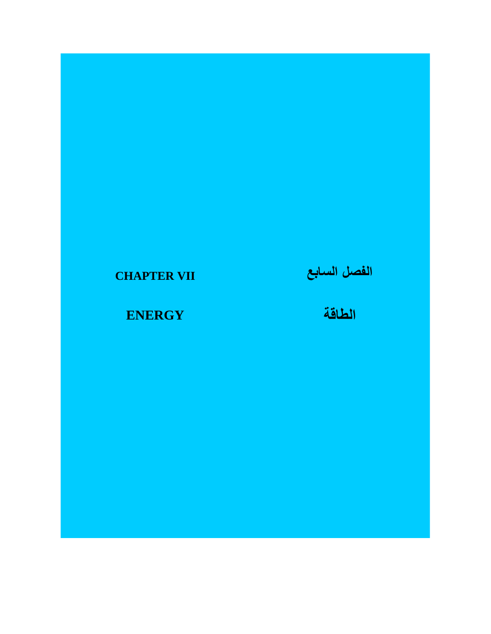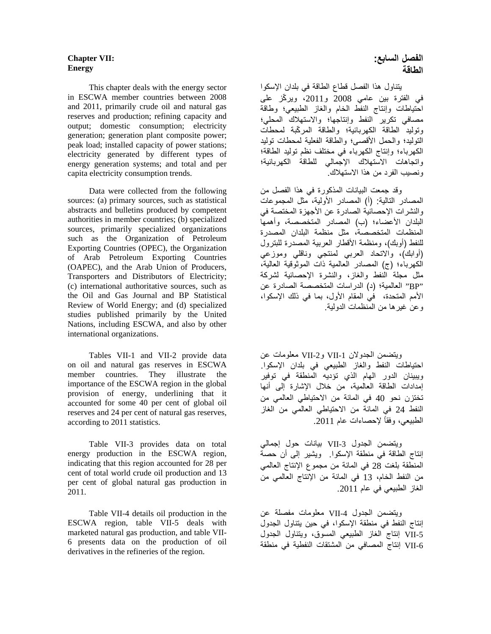### **Chapter VII: Energy**

 This chapter deals with the energy sector in ESCWA member countries between 2008 and 2011, primarily crude oil and natural gas reserves and production; refining capacity and output; domestic consumption; electricity generation; generation plant composite power; peak load; installed capacity of power stations; electricity generated by different types of energy generation systems; and total and per capita electricity consumption trends.

 Data were collected from the following sources: (a) primary sources, such as statistical abstracts and bulletins produced by competent authorities in member countries; (b) specialized sources, primarily specialized organizations such as the Organization of Petroleum Exporting Countries (OPEC), the Organization of Arab Petroleum Exporting Countries (OAPEC), and the Arab Union of Producers, Transporters and Distributors of Electricity; (c) international authoritative sources, such as the Oil and Gas Journal and BP Statistical Review of World Energy; and (d) specialized studies published primarily by the United Nations, including ESCWA, and also by other international organizations.

 Tables VII-1 and VII-2 provide data on oil and natural gas reserves in ESCWA member countries. They illustrate the importance of the ESCWA region in the global provision of energy, underlining that it accounted for some 40 per cent of global oil reserves and 24 per cent of natural gas reserves, according to 2011 statistics.

 Table VII-3 provides data on total energy production in the ESCWA region, indicating that this region accounted for 28 per cent of total world crude oil production and 13 per cent of global natural gas production in 2011.

 Table VII-4 details oil production in the ESCWA region, table VII-5 deals with marketed natural gas production, and table VII-6 presents data on the production of oil derivatives in the refineries of the region.

يتناول ھذا الفصل قطاع الطاقة في بلدان اإلسكوا في الفترة بين عامي 2008 و،2011 ويركّز على احتياطات وإنتاج النفط الخام والغاز الطبيعي؛ وطاقة مصافي تكرير النفط وإنتاجھا؛ واالستھالك المحلي؛ وتوليد الطاقة الكھربائية؛ والطاقة المر ّكبة لمحطات التوليد؛ والحمل األقصى؛ والطاقة الفعلية لمحطات توليد الكھرباء؛ وإنتاج الكھرباء في مختلف نظم توليد الطاقة؛ واتجاھات االستھالك اإلجمالي للطاقة الكھربائية؛ ونصيب الفرد من ھذا االستھالك.

وقد جمعت البيانات المذكورة في ھذا الفصل من المصادر التالية: (أ) المصادر األولية، مثل المجموعات والنشرات اإلحصائية الصادرة عن األجھزة المختصة في البلدان األعضاء؛ (ب) المصادر المتخصصة، وأھمھا المنظمات المتخصصة، مثل منظمة البلدان المصدرة للنفط (أوبك)، ومنظمة الأقطار العربية المصدرة للبترول (أوابك)، واالتحاد العربي لمنتجي وناقلي وموزعي الكھرباء؛ (ج) المصادر العالمية ذات الموثوقية العالية، مثل مجلة النفط والغاز، والنشرة اإلحصائية لشركة "BP "العالمية؛ (د) الدراسات المتخصصة الصادرة عن األمم المتحدة، في المقام األول، بما في ذلك اإلسكوا، وعن غيرھا من المنظمات الدولية.

ويتضمن الجدولان VII-1 وVII-2 معلومات عن احتياطات النفط والغاز الطبيعي في بلدان اإلسكوا. ويبينان الدور الھام الذي تؤديه المنطقة في توفير إمدادات الطاقة العالمية، من خالل اإلشارة إلى أنھا تختزن نحو 40 في المائة من االحتياطي العالمي من النفط 24 في المائة من االحتياطي العالمي من الغاز الطبيعي، وفقاً لإحصاءات عام 2011.

ويتضمن الجدول -3VII بيانات حول إجمالي إنتاج الطاقة في منطقة اإلسكوا. ويشير إلى أن حصة المنطقة بلغت 28 في المائة من مجموع اإلنتاج العالمي من النفط الخام، 13 في المائة من اإلنتاج العالمي من الغاز الطبيعي في عام .2011

ويتضمن الجدول -4VII معلومات مفصلة عن إنتاج النفط في منطقة اإلسكوا، في حين يتناول الجدول -5VII إنتاج الغاز الطبيعي المسوق، ويتناول الجدول -6VII إنتاج المصافي من المشتقات النفطية في منطقة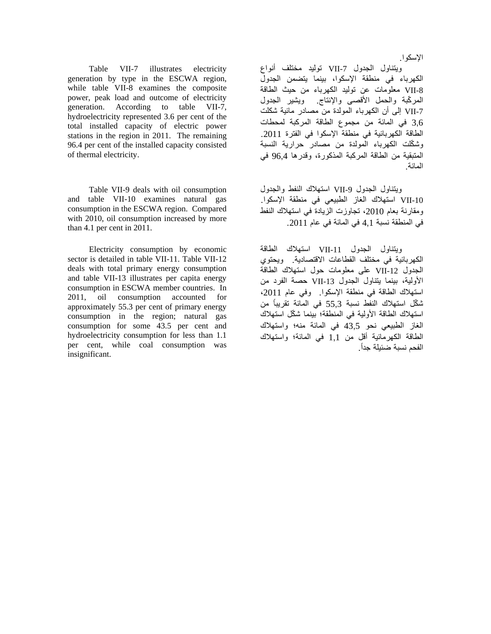Table VII-7 illustrates electricity generation by type in the ESCWA region, while table VII-8 examines the composite power, peak load and outcome of electricity generation. According to table VII-7, hydroelectricity represented 3.6 per cent of the total installed capacity of electric power stations in the region in 2011. The remaining 96.4 per cent of the installed capacity consisted of thermal electricity.

 Table VII-9 deals with oil consumption and table VII-10 examines natural gas consumption in the ESCWA region. Compared with 2010, oil consumption increased by more than 4.1 per cent in 2011.

 Electricity consumption by economic sector is detailed in table VII-11. Table VII-12 deals with total primary energy consumption and table VII-13 illustrates per capita energy consumption in ESCWA member countries. In 2011, oil consumption accounted for approximately 55.3 per cent of primary energy consumption in the region; natural gas consumption for some 43.5 per cent and hydroelectricity consumption for less than 1.1 per cent, while coal consumption was insignificant.

ويتناول الجدول -7VII توليد مختلف أنواع الكھرباء في منطقة اإلسكوا، بينما يتضمن الجدول -8VII معلومات عن توليد الكھرباء من حيث الطاقة المر ّكبة والحمل األقصى واإلنتاج. ويشير الجدول -7VII إلى أن الكھرباء المولدة من مصادر مائية شكلت 3,6 في المائة من مجموع الطاقة المركبة لمحطات الطاقة الكھربائية في منطقة اإلسكوا في الفترة .2011 وشكّلت الكھرباء المولدة من مصادر حرارية النسبة المتبقية من الطاقة المركبة المذكورة، وقدرھا 96,4 في المائة.

ويتناول الجدول VII-9 استھلاك النفط والجدول -10VII استھالك الغاز الطبيعي في منطقة اإلسكوا. ومقارنة بعام 2010، تجاوزت الزيادة في استھلاك النفط في المنطقة نسبة 4,1 في المائة في عام .2011

ويتناول الجدول -11VII استھالك الطاقة الكھربائية في مختلف القطاعات االقتصادية. ويحتوي الجدول -12VII على معلومات حول استھالك الطاقة األولية، بينما يتناول الجدول -13VII حصة الفرد من استھالك الطاقة في منطقة اإلسكوا. وفي عام ،2011 ش ّكل استھالك النفط نسبة 55,3 في المائة تقريبًا من استھلاك الطاقة الأولية في المنطقة؛ بينما شكّل استھلاك الغاز الطبيعي نحو 43,5 في المائة منه؛ واستھالك الطاقة الكھرمائية أقل من 1,1 في المائة؛ واستھالك الفحم نسبة ضئيلة جداً.

### اإلسكوا.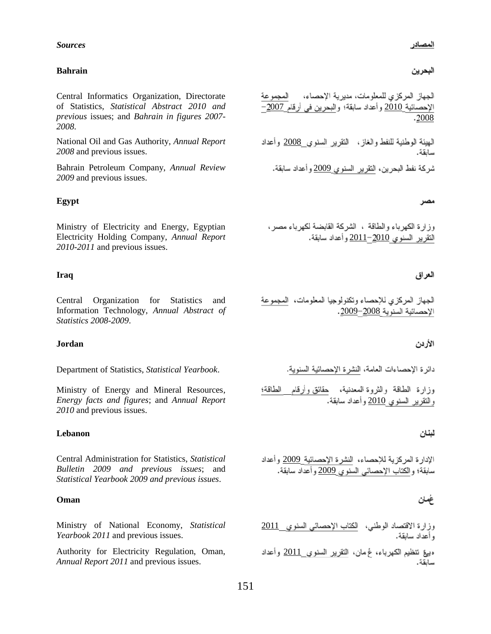#### *Sources*

#### **Bahrain**

Central Informatics Organization, Directorate of Statistics, *Statistical Abstract 2010 and previous* issues; and *Bahrain in figures 2007- 2008*.

*2008* and previous issues.

Bahrain Petroleum Company, *Annual Review* 2009 *2009* and previous issues.

### **Egypt**

Ministry of Electricity and Energy, Egyptian Electricity Holding Company, *Annual Report 2010-2011* and previous issues.

#### **Iraq**

Central Organization for Statistics and Information Technology, *Annual Abstract of Statistics 2008-2009*.

#### **Jordan**

Department of Statistics, *Statistical Yearbook*.

Ministry of Energy and Mineral Resources, *Energy facts and figures*; and *Annual Report 2010* and previous issues.

### **Lebanon**

Central Administration for Statistics, *Statistical Bulletin 2009 and previous issues*; and *Statistical Yearbook 2009 and previous issues*.

### **Oman**

Ministry of National Economy, *Statistical* 2011 *Yearbook 2011* and previous issues.

Authority for Electricity Regulation, Oman, ويق تنظيم الكهرباء، غ مان، النقوير السنوي 2011 وأعداد *Annual Report 2011* and previous issues.

## البحرين

الجهاز المركزي للمعلومات، مديرية الإحصاء، المجموعة الإحصائية <u>2010</u> وأعداد سابقة؛ والبحرين في أرقام 2<u>007</u>– 2008

National Oil and Gas Authority, *Annual Report* 2008 سانقة.

#### مصر

وزارة الكهرباء والطاقة ، الشركة القابضة لكهرباء مصر، النقرير السنوي <u>2010</u>–2011 وأعداد سابقة.

#### العراق

الجهاز المركزي للإحصاء وتكنولوجيا المعلومات، المجموعة الإحصائية السنوية 2<u>009</u>–2009.

## الأردن

دائر ة الإحصاءات العامة، النشر ة الإحصائية السنوية.

وزارة الطاقة والثروة المعدنية، <u>حقائق وأرقام الطاقة؛</u><br>والتقرير السنوي <u>2010</u> وأعداد سابقة.

#### لبنان

الإدارة المركزية للإحصاء، النشرة الإحصائية 2009 وأعداد سابقة؛ والكتاب الإحصائي السنوي 2009 وأعداد سابقة.

## غمان

سانقة.

و أعداد سابقة.

151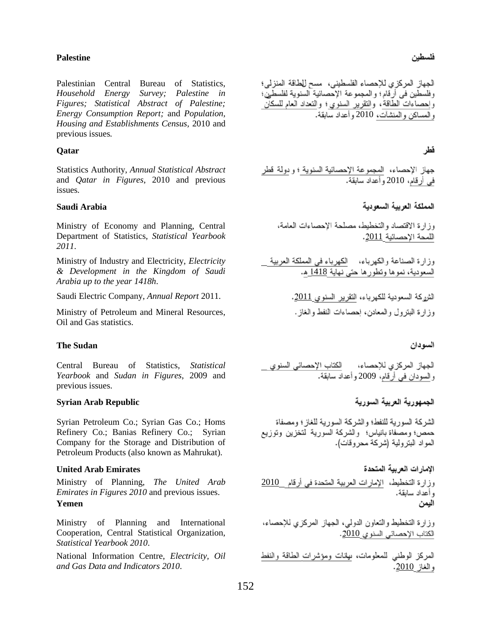## **Palestine**

Palestinian Central Bureau of Statistics, *Household Energy Survey; Palestine in Figures; Statistical Abstract of Palestine; Energy Consumption Report;* and *Population, Housing and Establishments Census,* 2010 and previous issues*.* 

### **Qatar**

Statistics Authority, *Annual Statistical Abstract* and *Qatar in Figures*, 2010 and previous issues*.*

## **Saudi Arabia**

Ministry of Economy and Planning, Central Department of Statistics, *Statistical Yearbook 2011*.

Ministry of Industry and Electricity, *Electricity & Development in the Kingdom of Saudi Arabia up to the year 1418h*.

Saudi Electric Company, *Annual Report* 2011. 2011

Ministry of Petroleum and Mineral Resources, Oil and Gas statistics.

### **The Sudan**

Central Bureau of Statistics, *Statistical Yearbook* and *Sudan in Figures*, 2009 and previous issues.

### **Syrian Arab Republic**

Syrian Petroleum Co.; Syrian Gas Co.; Homs Refinery Co.; Banias Refinery Co.; Syrian Company for the Storage and Distribution of Petroleum Products (also known as Mahrukat).

## **United Arab Emirates**

*Emirates in Figures 2010* and previous issues. **Yemen**

Ministry of Planning and International Cooperation, Central Statistical Organization, *Statistical Yearbook 2010*.

National Information Centre, *Electricity, Oil and Gas Data and Indicators 2010*.

الجهاز المركزي للإحصاء الفلسطيني، مسح للطاقة المنزلي؛ وفلسطين في أرقام؛ والمجموعة الإحصائية السنوية لفلسطين؛ وَ لِحصَّاءَاتَ الطَّاقَةُ، وَالنَّقْرِيرِ السُّنوي؛ وَالنَّعْدَادِ الْعَامِ لَلسَّكَانَ و المساكن و المنشآت، 2010 و أعداد سابقة.

## فطر

جهاز الإحصاء، ا<u>لمجموعة الإحصائية السنوية ؛ و دولة قطر</u><br>في أرقام، 2010 وأعداد سابقة.

المملكة العربية السعودية

وزارة الاقتصاد والتخطيط، مصلحة الاحصاءات العامة، اللمحة الإحصائية 2011.

وزارة الصناعة والكهرباء، الكهرباء في المملكة العربية السعودية، نموها ونطورها حتى نهاية <u>1418</u> هـ.

وز ار ة البترول والمعادن، احصاءات النفط والغاز .

#### السودان

الجهاز المركزي للإحصاء، لكتاب الإحصائي السنوي<br>والسودان في أرقام، 2009 و أعداد سابقة.

# الجمهورية العربية السورية

الشركة السورية للنفط؛ والشركة السورية للغاز؛ ومصفاة حمص؛ ومصفاة بانياس؛ والشركة السورية لتخزين وتوزيع المواد البتر ولية (شركة محروقات).

الامار ات العربية المتحدة

Ministry of Planning, *The United Arab* 2010 وأعداد سابقة. اليمن

> وزارة التخطيط والنعاون الدولبي، الجهاز المركزي للإحصاء، الكتاب الإحصائي السنوي 2010.

> المركز الوطني للمعلومات، ىيلنات ومؤشرات الطاقة والنفط و الغاز 2010.

## فلسطين